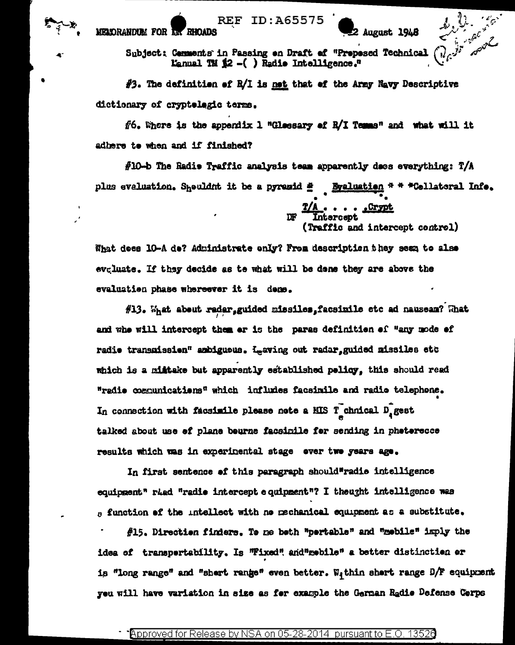**REF ID:A65575 MELORANDUM FOR LA RHOADS** 

Subject: Comments in Passing on Draft of "Prepesed Technical Lanual TM  $\sharp 2$  -( ) Radio Intelligence."

 $#3$ . The definition of R/I is not that of the Army Navy Descriptive dictionary of cryptologic terms.

 $f_0$ . There is the appendix 1 "Glessary of R/I Temms" and what will it adhere te when and if finished?

 $f10-b$  The Radio Traffic analysis team apparently does everything: T/A plus evaluation. Sheuldnt it be a pyremid # Byaluation \* \* \* Cellatoral Infe.

> DF Intercept affic and intercept control)

August 1948

What does 10-A de? Administrate only? From description they seen to also evgluate. If they decide as te what will be dene they are above the evaluation phase whereever it is demo.

#13. What about radar, guided missiles, facsimile etc ad nauseam? What and whe will intercept them ar is the paras definition of "any mode of radio transmission" ambigueus. Leaving out radar, guided missiles etc which is a militake but apparently established policy, this should read "radio communications" which infludes facsimile and radio telephone. In connection with facsimile please note a MIS T chnical  $D_q$  gest talked about use of plane beurne facsimile for sending in photorecce results which was in experimental stage over two years ago.

In first sentence of this paragraph should"radio intelligence equipment" ried "radio intercept equipment"? I theught intelligence was  $_0$  function of the intellect with ne mechanical equipment as a substitute.

#15. Direction finders. To me both "portable" and "mobile" imply the idea of transpertability. Is "Fixed" and mebile" a better distinction or is "long range" and "shert range" even better. Within shert range D/F equipment you will have variation in size as for example the German Radio Defense Corps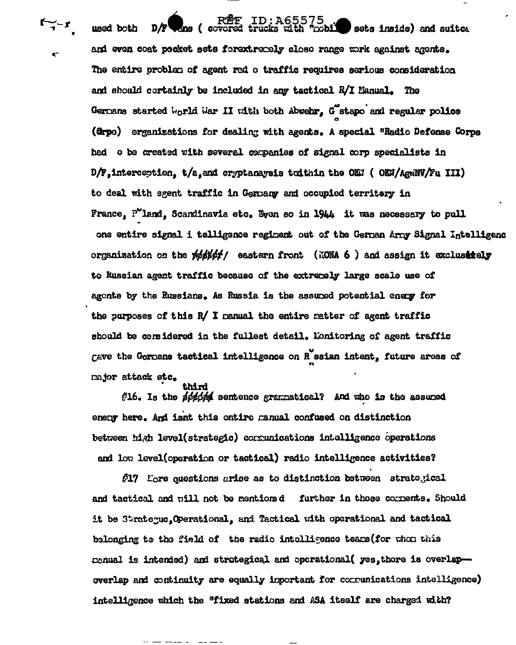RÊF ID:A65575<br>Example with "pobl" sets inside) and suitce  $D/F$ **Ens (covored** used both and even coat pocket sets forextremely close range work against agents. The entire problem of agent rad o traffic requires serious consideration and should certainly be included in any tactical R/I Manual. The Germans started world War II with both Abwehr, G stapo and regular police (Orpo) organizations for dealing with agents. A special "Radio Defense Corps had o be created with several companies of signal corp specialists in D/F, interception, t/a, and cryptanaysis toithin the OKI (OKH/AgwNW/Fu III) to deal with agent traffic in Germany and occupied territery in France,  $P'$ land, Scandinavia etc. Eyen so in 1944 it was necessary to pull one entire signal i telligence regiment out of the German Army Signal Intelligenc organization on the white the eastern front (NONA 6) and assign it exclustiely to Russian agent traffic because of the extremely large scale use of agents by the Russians. As Russia is the assumed potential energy for the purposes of this R/ I manual the entire matter of agent traffic should be considered in the fullest detail. Monitoring of agent traffic gave the Germans tactical intelligence on R ssian intent, future areas of mior attack etc. thi wi

 $/216$ . Is the solding sentence gramatical? And who is the assumed eneny here. And isnt this ontire ranual confused on distinction between high level(strategic) corrunications intelligence operations and low level(operation or tactical) radio intelligence activities?

**/17** Eore questions arise as to distinction between strategical and tactical and will not be mentioned further in these comments. Should it be Strategue. Operational, and Tactical with operational and tactical belonging to the field of the radio intelligence teams (for whom this menual is intended) and strategical and operational( yes, there is overlapoverlap and continuity are equally inportant for communications intelligence) intelligence which the "fixed stations and ASA itself are charged with?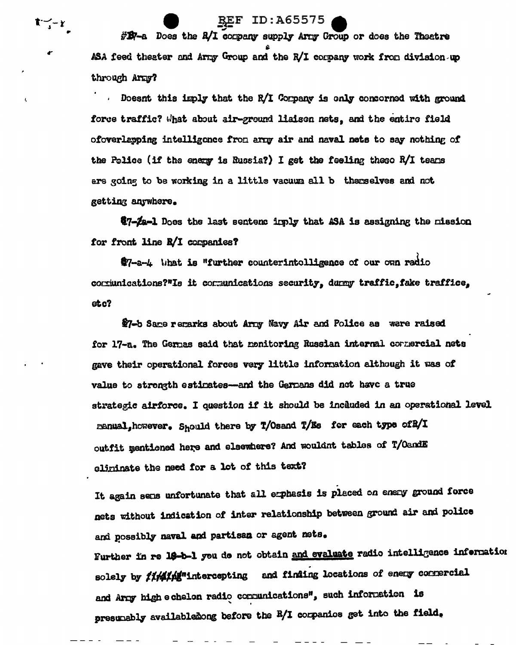$\#B$ 7-a Does the  $R/I$  corpany supply Arry Group or does the Theatre ASA feed theater and Army Group and the R/I company work from division up through Army?

**REF ID:A65575** 

キーシーと

Doesnt this imply that the R/I Corpany is only concorned with ground force traffic? What about air-ground liaison nets, and the entire field ofoverlapping intelligence from army air and naval nets to say nothing of the Police (if the energy is Russia?) I get the feeling theso R/I teams ere going to be working in a little vacuum all b therselves and not getting anywhere.

@7-Za-1 Does the last sentenc irply that ASA is assigning the nission for front line R/I companies?

\$7-a-4 What is "further counterintelligence of our own radio communications?"Is it communications security, durmy traffic, fake traffice,  $etc?$ 

\$7-b Same remarks about Army Navy Air and Police as were raised for 17-a. The Germas said that monitoring Russian internal connercial nets gave their operational forces very little information although it was of value to strength estimates-and the Germans did not have a true strategic airforce. I question if it should be included in an operational level manual, however. Should there by T/Osand T/Es for each type of B/I outfit mentioned here and elsewhere? And wouldnt tables of T/OandE eliminate the need for a lot of this text?

It again sens unfortunate that all erphasis is placed on enery ground force nets without indication of inter relationship between ground air and police and possibly naval and partisan or agent nets. Further in re 18-b-1 you do not obtain and evaluate radio intelligence information solely by *iimithis*<sup>n</sup>intercepting and finding locations of enery commercial and Arny high echelon radio communications", such information is presumably availabledong before the R/I companies get into the field.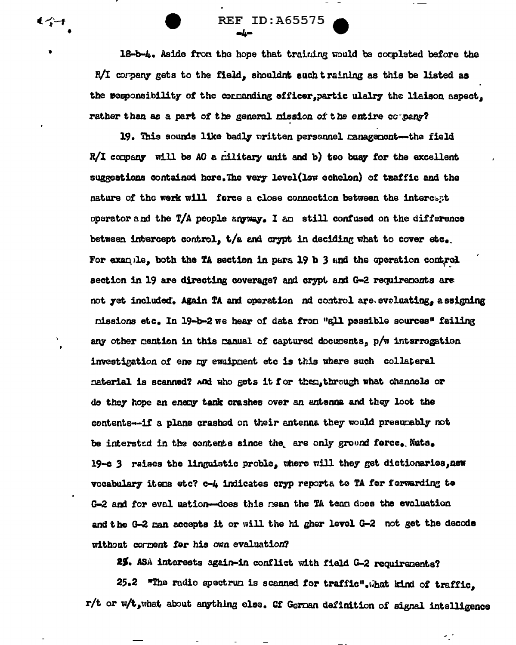18-b-4. Aside from the hope that training would be corpleted before the R/I corpany gets to the field, shouldnt such training as this be listed as the responsibility of the cornanding officer, partic ulalry the liaison aspect, rather than as a part of the general nission of the entire company?

**REF ID:A65575** 

دیات

モイーチ

19. This sounds like badly uritten personnel management-the field  $R/I$  company will be AO a military unit and b) too busy for the excellent suggestions contained here. The very level(low echelon) of traffic and the nature of the work will force a close connection between the intercent operator and the T/A people anyway. I am still confused on the difference between intercept control,  $t/a$  and crypt in deciding what to cover etc. For example, both the TA section in para 19 b 3 and the operation control section in 19 are directing coverage? and crypt and G-2 requirements are not yet included. Again TA and operation nd control are eveluating, a ssigning missions etc. In 19-b-2 we hear of data from "all possible sources" failing any other mention in this manual of captured documents, p/w interrogation investigation of ene ny ewuipment etc is this where such collateral naterial is scanned? And who gets it for then, through what channels or de they hope an enery tank crashes over an antenna and they loot the contents--if a plane crashed on their antenna they would presumably not be intersted in the contents since the are only ground force. Nuts. 19-c 3 raises the linguistic proble, where will they get dictionaries, new vocabulary itens etc? c-4 indicates cryp reporta to TA for forwarding to G-2 and for eval uation--does this mean the TA team does the evaluation and the G-2 man accepts it or will the hi gher level G-2 not get the decode without corpent for his own evaluation?

25. ASA interests again-in conflict with field G-2 requirements?

25.2 "The radio spectrum is scanned for traffic". What kind of traffic, r/t or w/t, what about anything else. Cf Gernan definition of signal intelligence

 $\mathcal{L}_{\mathcal{L}}$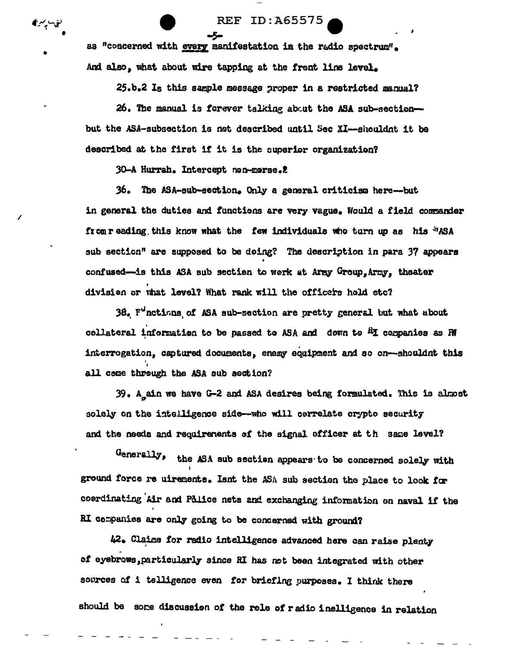**REF ID: A65575** 

as "concerned with every manifestation in the radio spectrum". And also, what about wire tapping at the front line level.

-5-

25.b.2 Is this sample message proper in a restricted manual?

26. The manual is forever talking about the ASA sub-sectionbut the ASA-subsection is not described until Sec XI--shouldnt it be described at the first if it is the superior organization?

30-A Hurrah. Intercept non-morse.2

ق∼پ∽ر€

36. The ASA-sub-section. Only a general criticism here-but in general the duties and functions are very vague. Would a field commander from reading, this know what the few individuals who turn up as his MASA sub section" are supposed to be doing? The description in para 37 appears confused-is this ASA sub section to work at Aray Group, Army, theater division or what level? What rank will the officers hold etc?

38. F<sup>o</sup>nctions of ASA sub-section are pretty general but what about collateral information to be passed to ASA and down to <sup>R</sup>I companies as RI interrogation, captured documents, enemy equipment and so on-shouldnt this all come through the ASA sub section?

39. A ain we have G-2 and ASA desires being formulated. This is almost solely on the intelligence side--who will correlate crypto security and the needs and requirements of the signal officer at th same level?

Generally, the ASA sub section appears to be concerned solely with ground force re uirements. Isnt the ASA sub section the place to look for coordinating Air and Palice nets and exchanging information on naval if the RI companies are only going to be concerned with ground?

42. Claims for radio intelligence advanced here can raise plenty of eyebrows, particularly since RI has not been integrated with other sources of i telligence even for briefing purposes. I think there should be some discussion of the role of radio inelligence in relation